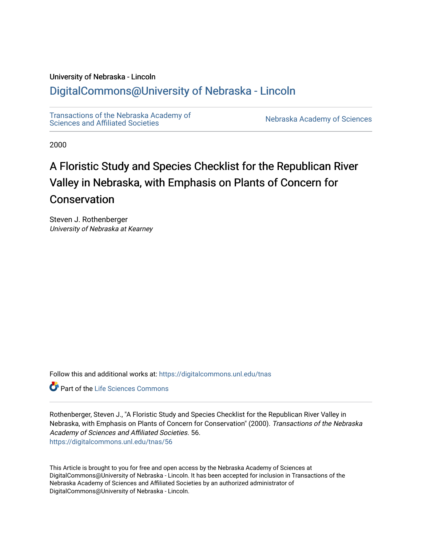## University of Nebraska - Lincoln

# [DigitalCommons@University of Nebraska - Lincoln](https://digitalcommons.unl.edu/)

[Transactions of the Nebraska Academy of](https://digitalcommons.unl.edu/tnas)  Transactions of the Nebraska Academy of Sciences<br>Sciences and Affiliated Societies

2000

# A Floristic Study and Species Checklist for the Republican River Valley in Nebraska, with Emphasis on Plants of Concern for Conservation

Steven J. Rothenberger University of Nebraska at Kearney

Follow this and additional works at: [https://digitalcommons.unl.edu/tnas](https://digitalcommons.unl.edu/tnas?utm_source=digitalcommons.unl.edu%2Ftnas%2F56&utm_medium=PDF&utm_campaign=PDFCoverPages) 

**C** Part of the Life Sciences Commons

Rothenberger, Steven J., "A Floristic Study and Species Checklist for the Republican River Valley in Nebraska, with Emphasis on Plants of Concern for Conservation" (2000). Transactions of the Nebraska Academy of Sciences and Affiliated Societies. 56. [https://digitalcommons.unl.edu/tnas/56](https://digitalcommons.unl.edu/tnas/56?utm_source=digitalcommons.unl.edu%2Ftnas%2F56&utm_medium=PDF&utm_campaign=PDFCoverPages)

This Article is brought to you for free and open access by the Nebraska Academy of Sciences at DigitalCommons@University of Nebraska - Lincoln. It has been accepted for inclusion in Transactions of the Nebraska Academy of Sciences and Affiliated Societies by an authorized administrator of DigitalCommons@University of Nebraska - Lincoln.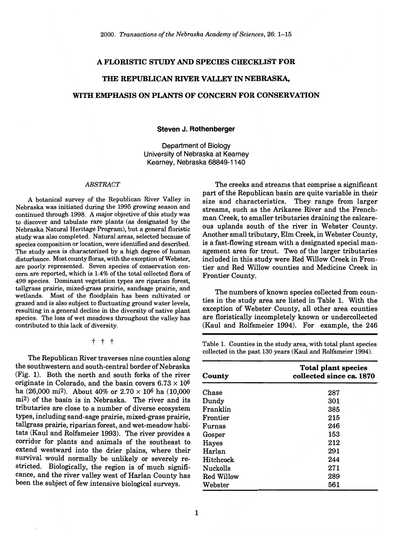#### A FLORISTIC STUDY AND SPECIES CHECKLIST FOR

## THE REPUBLICAN RIVER VALLEY IN NEBRASKA,

## WITH EMPHASIS ON PLANTS OF CONCERN FOR CONSERVATION

#### Steven J. Rothenberger

Department of Biology University of Nebraska at Kearney Kearney, Nebraska 68849-1140

#### *ABSTRACT*

A botanical survey of the Republican River Valley in Nebraska was initiated during the 1995 growing season and continued through 1998. A major objective of this study was to discover and tabulate rare plants (as designated by the Nebraska Natural Heritage Program), but a general floristic study was also completed. Natural areas, selected because of species composition or location, were identified and described. The study area is characterized by a high degree of human disturbance. Most county floras, with the exception of Webster, are poorly represented. Seven species of conservation concern are reported, which is 1.4% of the total collected flora of 499 species. Dominant vegetation types are riparian forest, tallgrass prairie, mixed-grass prairie, sandsage prairie, and wetlands. Most of the floodplain has been cultivated or grazed and is also subject to fluctuating ground water levels, resulting in a general decline in the diversity of native plant species. The loss of wet meadows throughout the valley has contributed to this lack of diversity.

t t t

The Republican River traverses nine counties along the southwestern and south-central border of Nebraska (Fig. 1). Both the north and south forks of the river originate in Colorado, and the basin covers  $6.73 \times 10^6$ ha (26,000 mi<sup>2</sup>). About 40% or  $2.70 \times 10^6$  ha (10,000 mi2) of the basin is in Nebraska. The river and its tributaries are close to a number of diverse ecosystem types, including sand-sage prairie, mixed-grass prairie, tallgrass prairie, riparian forest, and wet-meadow habitats (Kaul and Rolfsmeier 1993). The river provides a corridor for plants and animals of the southeast to extend westward into the drier plains, where their survival would normally be unlikely or severely restricted. Biologically, the region is of much significance, and the river valley west of Harlan County has been the subject of few intensive biological surveys.

The creeks and streams that comprise a significant part of the Republican basin are quite variable in their size and characteristics. They range from larger streams, such as the Arikaree River and the Frenchman Creek, to smaller tributaries draining the calcareous uplands south of the river in Webster County. Another small tributary, Elm Creek, in Webster County, is a fast-flowing stream with a designated special management area for trout. Two of the larger tributaries included in this study were Red Willow Creek in Frontier and Red Willow counties and Medicine Creek in Frontier County.

The numbers of known species collected from counties in the study area are listed in Table 1. With the exception of Webster County, all other area counties are floristically incompletely known or undercollected (Kaul and Rolfsmeier 1994). For example, the 246

Table 1. Counties in the study area, with total plant species collected in the past 130 years (Kaul and Rolfsmeier 1994).

| County          | <b>Total plant species</b><br>collected since ca. 1870 |
|-----------------|--------------------------------------------------------|
| Chase           | 287                                                    |
| Dundy           | 301                                                    |
| Franklin        | 385                                                    |
| Frontier        | 215                                                    |
| Furnas          | 246                                                    |
| Gosper          | 153                                                    |
| Hayes           | 212                                                    |
| Harlan          | 291                                                    |
| Hitchcock       | 244                                                    |
| <b>Nuckolls</b> | 271                                                    |
| Red Willow      | 289                                                    |
| Webster         | 561                                                    |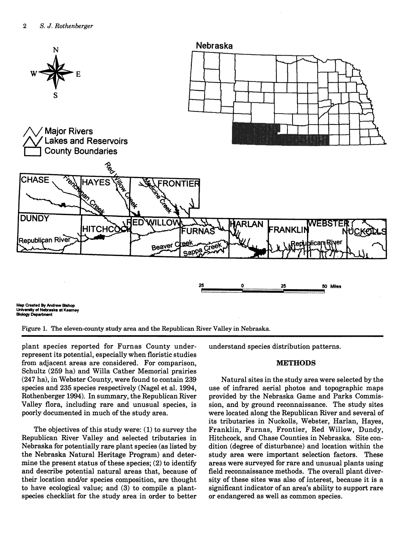

Figure 1. The eleven-county study area and the Republican River Valley in Nebraska.

plant species reported for Furnas County underrepresent its potential, especially when floristic studies from adjacent areas are considered. For comparison, Schultz (259 ha) and Willa Cather Memorial prairies (247 ha), in Webster County, were found to contain 239 species and 235 species respectively (Nagel et al. 1994, Rothenberger 1994). In summary, the Republican River Valley flora, including rare and unusual species, is poorly documented in much of the study area.

The objectives of this study were: (1) to survey the Republican River Valley and selected tributaries in Nebraska for potentially rare plant species (as listed by the Nebraska Natural Heritage Program) and determine the present status of these species; (2) to identify and describe potential natural areas that, because of their location and/or species composition, are thought to have ecological value; and (3) to compile a plantspecies checklist for the study area in order to better

understand species distribution patterns.

#### METHODS

Natural sites in the study area were selected by the use of infrared aerial photos and topographic maps provided by the Nebraska Game and Parks Commission, and by ground reconnaissance. The study sites were located along the Republican River and several of its tributaries in Nuckolls, Webster, Harlan, Hayes, Franklin, Furnas, Frontier, Red Willow, Dundy, Hitchcock, and Chase Counties in Nebraska. Site condition (degree of disturbance) and location within the study area were important selection factors. These areas were surveyed for rare and unusual plants using field reconnaissance methods. The overall plant diversity of these sites was also of interest, because it is a significant indicator of an area's ability to support rare or endangered as well as common species.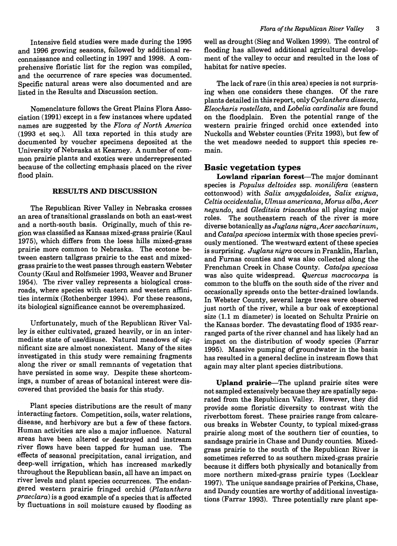Intensive field studies were made during the 1995 and 1996 growing seasons, followed by additional reconnaissance and collecting in 1997 and 1998. A comprehensive floristic list for the region was compiled, and the occurrence of rare species was documented. Specific natural areas were also documented and are listed in the Results and Discussion section.

Nomenclature follows the Great Plains Flora Association (1991) except in a few instances where updated names are suggested by the *Flora of North America*  (1993 et seq.). All taxa reported in this study are documented by voucher specimens deposited at the University of Nebraska at Kearney. A number of common prairie plants and exotics were underrepresented because of the collecting emphasis placed on the river flood plain.

## RESULTS AND DISCUSSION

The Republican River Valley in Nebraska crosses an area of transitional grasslands on both an east-west and a north-south basis. Originally, much of this region was classified as Kansas mixed-grass prairie (Kaul 1975), which differs from the loess hills mixed-grass prairie more common to Nebraska. The ecotone between eastern tallgrass prairie to the east and mixedgrass prairie to the west passes through eastern Webster County (Kaul and Rolfsmeier 1993, Weaver and Bruner 1954). The river valley represents a biological crossroads, where species with eastern and western affinities intermix (Rothenberger 1994). For these reasons, its biological significance cannot be overemphasized.

Unfortunately, much of the Republican River Valley is either cultivated, grazed heavily, or in an intermediate state of use/disuse. Natural meadows of significant size are almost nonexistent. Many of the sites investigated in this study were remaining fragments along the river or small remnants of vegetation that have persisted in some way. Despite these shortcomings, a number of areas of botanical interest were discovered that provided the basis for this study.

Plant species distributions are the result of many interacting factors. Competition, soils, water relations, disease, and herbivory are but a few of these factors. Human activities are also a major influence. Natural areas have been altered or destroyed and instream river flows have been tapped for human use. The effects of seasonal precipitation, canal irrigation, and deep-well irrigation, which has increased markedly throughout the Republican basin, all have an impact on river levels and plant species occurrences. The endangered western prairie fringed orchid *(Platanthera praeclara)* is a good example of a species that is affected by fluctuations in soil moisture caused by flooding as

well as drought (Sieg and Wolken 1999). The control of flooding has allowed additional agricultural development of the valley to occur and resulted in the loss of habitat for native species.

The lack of rare (in this area) species is not surprising when one considers these changes. Of the rare plants detailed in this report, only *Cyclanthera dissecta, Eleocharis rostellata,* and *Lobelia cardinal is* are found on the floodplain. Even the potential range of the western prairie fringed orchid once extended into Nuckolls and Webster counties (Fritz 1993), but few of the wet meadows needed to support this species remain.

## Basic vegetation types

Lowland riparian forest-The major dominant species is *Populus deltoides* ssp. *monilifera* (eastern cottonwood) with *Salix amygdaloides, Salix exigua, Celtis occidentalis, Ulmus americana, Morus alba, Acer negundo,* and *Gleditsia triacanthos* all playing major roles. The southeastern reach of the river is more diverse botanically as *Juglans nigra,Acer saccharinum,*  and *Catalpa speciosa* intermix with those species previously mentioned. The westward extent of these species is surprising. *Juglans nigra* occurs in Franklin, Harlan, and Furnas counties and was also collected along the Frenchman Creek in Chase County. *Catalpa speciosa*  was also quite widespread. *Quercus macrocarpa* is common to the bluffs on the south side of the river and occasionally spreads onto the better-drained lowlands. In Webster County, several large trees were observed just north of the river, while a bur oak of exceptional size (1.1 m diameter) is located on Schultz Prairie on the Kansas border. The devastating flood of 1935 rearranged parts of the river channel and has likely had an impact on the distribution of woody species (Farrar 1995). Massive pumping of groundwater in the basin has resulted in a general decline in instream flows that again may alter plant species distributions.

Upland prairie-The upland prairie sites were not sampled extensively because they are spatially separated from the Republican Valley. However, they did provide some floristic diversity to contrast with the riverbottom forest. These prairies range from calcareous breaks in Webster County, to typical mixed-grass prairie along most of the southern tier of counties, to sandsage prairie in Chase and Dundy counties. Mixedgrass prairie to the south of the Republican River is sometimes referred to as southern mixed-grass prairie because it differs both physically and botanically from more northern mixed-grass prairie types (Locklear 1997). The unique sandsage prairies of Perkins, Chase, and Dundy counties are worthy of additional investigations (Farrar 1993). Three potentially rare plant spe-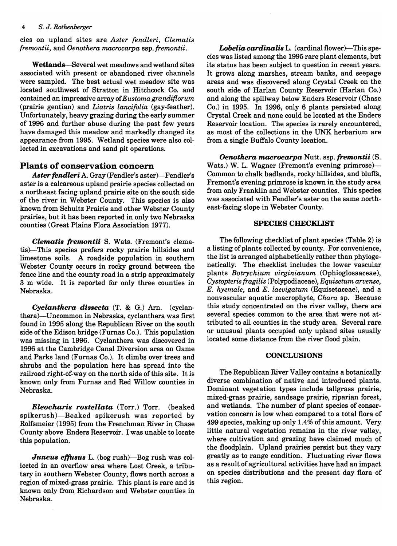cies on upland sites are *Aster fendleri, Clematis fremontii,* and *Oenothera macrocarpa* ssp. *fremontii.* 

Wetlands-Several wet meadows and wetland sites associated with present or abandoned river channels were sampled. The best actual wet meadow site was located southwest of Stratton in Hitchcock Co. and contained an impressive array of *Eustoma grandiflorum*  (prairie gentian) and *Liatris lancifolia* (gay-feather). Unfortunately, heavy grazing during the early summer of 1996 and further abuse during the past few years have damaged this meadow and markedly changed its appearance from 1995. Wetland species were also collected in excavations and sand pit operations.

## Plants of conservation concern

Aster fendleri A. Gray (Fendler's aster)-Fendler's aster is a calcareous upland prairie species collected on a northeast facing upland prairie site on the south side of the river in Webster County. This species is also known from Schultz Prairie and other Webster County prairies, but it has been reported in only two Nebraska counties (Great Plains Flora Association 1977).

*Clematis fremontii* S. Wats. (Fremont's clematis)-This species prefers rocky prairie hillsides and limestone soils. A roadside population in southern Webster County occurs in rocky ground between the fence line and the county road in a strip approximately 3 m wide. It is reported for only three counties in Nebraska.

*Cyclanthera dissecta* (T. & G.) Arn. (cyclanthera)-Uncommon in Nebraska, cyclanthera was first found in 1995 along the Republican River on the south side of the Edison bridge (Furnas Co.). This population was missing in 1996. Cyclanthera was discovered in 1996 at the Cambridge Canal Diversion area on Game and Parks land (Furnas Co.). It climbs over trees and shrubs and the population here has spread into the railroad right-of-way on the north side of this site. It is known only from Furnas and Red Willow counties in Nebraska.

*Eleocharis rostellata* (Torr.) Torr. (beaked spikerush)-Beaked spikerush was reported by Rolfsmeier (1995) from the Frenchman River in Chase County above Enders Reservoir. I was unable to locate this population.

*Juncus effusus* L. (bog rush)—Bog rush was collected in an overflow area where Lost Creek, a tributary in southern Webster County, flows north across a region of mixed-grass prairie. This plant is rare and is known only from Richardson and Webster counties in Nebraska.

Lobelia cardinalis L. (cardinal flower)-This species was listed among the 1995 rare plant elements, but its status has been subject to question in recent years. It grows along marshes, stream banks, and seepage areas and was discovered along Crystal Creek on the south side of Harlan County Reservoir (Harlan Co.) and along the spillway below Enders Reservoir (Chase Co.) in 1995. In 1996, only 6 plants persisted along Crystal Creek and none could be located at the Enders Reservoir location. The species is rarely encountered, as most of the collections in the UNK herbarium are from a single Buffalo County location.

*Oenothera macrocarpa* Nutt. ssp. *fremontii* (S. Wats.) W. L. Wagner (Fremont's evening primrose)— Common to chalk badlands, rocky hillsides, and bluffs, Fremont's evening primrose is known in the study area from only Franklin and Webster counties. This species was associated with Fendler's aster on the same northeast-facing slope in Webster County.

### SPECIES CHECKLIST

The following checklist of plant species (Table 2) is a listing of plants collected by county. For convenience, the list is arranged alphabetically rather than phylogenetically. The checklist includes the lower vascular plants *Botrychium virginianum* (Ophioglossaceae), *Cystopteris fragilis* (Polypodiaceae), *Equisetum arvense, E. hyemale,* and *E. laevigatum* (Equisetaceae), and a nonvascular aquatic macrophyte, *Chara* sp. Because this study concentrated on the river valley, there are several species common to the area that were not attributed to all counties in the study area. Several rare or unusual plants occupied only upland sites usually located some distance from the river flood plain.

## **CONCLUSIONS**

The Republican River Valley contains a botanically diverse combination of native and introduced plants. Dominant vegetation types include tallgrass prairie, mixed-grass prairie, sandsage prairie, riparian forest, and wetlands. The number of plant species of conservation concern is low when compared to a total flora of 499 species, making up only 1.4% of this amount. Very little natural vegetation remains in the river valley, where cultivation and grazing have claimed much of the floodplain. Upland prairies persist but they vary greatly as to range condition. Fluctuating river flows as a result of agricultural activities have had an impact on species distributions and the present day flora of this region.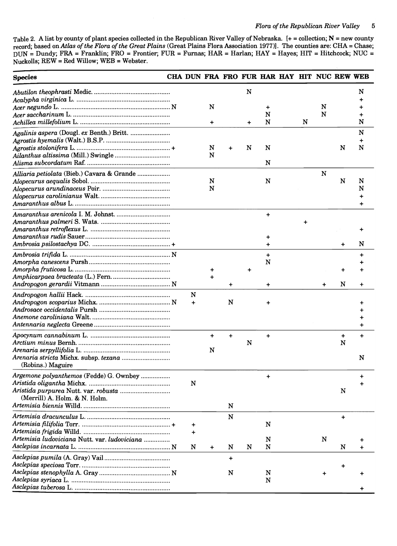Table 2. A list by county of plant species collected in the Republican River Valley of Nebraska. [+= collection; N = new county record; based on *Atlas of the Flora of the Great Plains* (Great Plains Flora Association 1977)]. The counties are: CHA = Chase; DUN = Dundy; FRA = Franklin; FRO = Frontier; FUR = Furnas; HAR = Harlan; HAY = Hayes; HIT = Hitchcock; NUC = Nuckolls; REW = Red Willow; WEB = Webster.

| <b>Species</b>                                                                                | CHA DUN FRA FRO FUR HAR HAY HIT NUC REW WEB |                |           |           |                |   |           |           |                |
|-----------------------------------------------------------------------------------------------|---------------------------------------------|----------------|-----------|-----------|----------------|---|-----------|-----------|----------------|
|                                                                                               |                                             | N              |           | N         | +<br>N         |   | N<br>N    |           | N              |
|                                                                                               |                                             | $\ddot{}$      |           | $\ddot{}$ | N              | N |           |           | N              |
|                                                                                               |                                             | N<br>N         | $\ddot{}$ | N         | N              |   |           | N         | N<br>N         |
|                                                                                               |                                             |                |           |           | N              |   |           |           |                |
| Alliaria petiolata (Bieb.) Cavara & Grande                                                    |                                             | N<br>N         |           |           | N              |   | N         | N         | N<br>N         |
|                                                                                               |                                             |                |           |           | $\ddot{}$      | + |           |           | ٠              |
|                                                                                               |                                             |                |           |           | $\ddot{}$      |   |           | +         | N              |
|                                                                                               |                                             |                |           |           | $\ddot{}$<br>N |   |           | +         | +              |
|                                                                                               |                                             |                | $\ddot{}$ |           | +              |   |           | N         | +              |
|                                                                                               | N<br>$\ddot{}$                              |                | N         |           |                |   |           |           |                |
|                                                                                               |                                             | $\ddot{}$<br>N | $\ddot{}$ | N         | $\ddot{}$      |   |           | +<br>N    | $\ddot{}$<br>N |
| (Robins.) Maguire<br>Argemone polyanthemos (Fedde) G. Ownbey<br>(Merrill) A. Holm. & N. Holm. | N                                           |                | N         |           | $\ddot{}$      |   |           | N         | +              |
| Artemisia ludoviciana Nutt. var. ludoviciana                                                  | +<br>+                                      |                | N         |           | N<br>N         |   | ${\bf N}$ | $\ddot{}$ |                |
|                                                                                               | N                                           | $\ddot{}$      | N         | N         | N              |   |           | N         |                |
|                                                                                               |                                             |                | +<br>N    |           | N<br>${\bf N}$ |   |           | ٠         |                |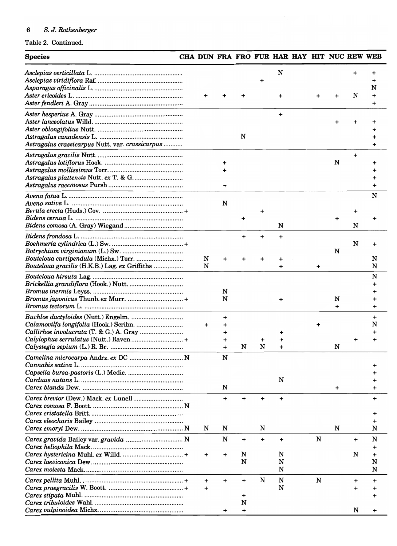| <b>Species</b>                                  | CHA DUN FRA FRO FUR HAR HAY HIT NUC REW WEB |           |           |           |           |           |                |           |        |
|-------------------------------------------------|---------------------------------------------|-----------|-----------|-----------|-----------|-----------|----------------|-----------|--------|
|                                                 |                                             |           |           | +         | N         |           |                |           |        |
|                                                 |                                             |           |           |           | +         |           |                | N         | N      |
|                                                 |                                             |           |           |           | $\ddot{}$ |           |                |           |        |
|                                                 |                                             |           |           |           |           |           |                |           |        |
|                                                 |                                             |           | N         |           |           |           |                |           |        |
| Astragalus crassicarpus Nutt. var. crassicarpus |                                             |           |           |           |           |           |                |           |        |
|                                                 |                                             |           |           |           |           |           |                | $\ddot{}$ |        |
|                                                 |                                             | +         |           |           |           |           | N              |           |        |
|                                                 |                                             |           |           |           |           |           |                |           |        |
|                                                 |                                             | +         |           |           |           |           |                |           |        |
|                                                 |                                             |           |           |           |           |           |                |           | N      |
|                                                 |                                             | N         |           |           |           |           |                |           |        |
|                                                 |                                             |           |           |           |           |           |                | +         |        |
|                                                 |                                             |           |           |           | N         |           |                | N         |        |
|                                                 |                                             |           |           |           |           |           |                |           |        |
|                                                 |                                             |           | +         |           | $\ddot{}$ |           |                | N         |        |
|                                                 |                                             |           |           |           |           |           | N              |           |        |
|                                                 | N                                           | +         |           |           |           |           |                |           | N      |
| Bouteloua gracilis (H.K.B.) Lag. ex Griffiths   | N                                           |           |           |           | +         | $\ddot{}$ |                |           | N      |
|                                                 |                                             |           |           |           |           |           |                |           | N      |
|                                                 |                                             |           |           |           |           |           |                |           |        |
|                                                 |                                             | N         |           |           |           |           |                |           |        |
|                                                 |                                             | N         |           |           |           |           | N<br>$\ddot{}$ |           | +      |
|                                                 |                                             |           |           |           |           |           |                |           |        |
|                                                 | $\ddot{}$                                   | +         |           |           |           |           |                |           | +<br>N |
|                                                 |                                             | +         |           |           |           |           |                |           |        |
| Calylophus serrulatus (Nutt.) Raven  +          |                                             | +         |           |           |           |           |                |           |        |
|                                                 |                                             | $\ddot{}$ | N         | N         |           |           | N              |           |        |
| Camelina microcarpa Andrz. ex DC  N             |                                             | N         |           |           |           |           |                |           |        |
|                                                 |                                             |           |           |           |           |           |                |           |        |
|                                                 |                                             |           |           |           | N         |           |                |           |        |
|                                                 |                                             | N         |           |           |           |           | $\ddot{}$      |           |        |
|                                                 |                                             | $\ddot{}$ | $\ddot{}$ |           |           |           |                |           |        |
|                                                 |                                             |           |           | +         | $\ddot{}$ |           |                |           | +      |
|                                                 |                                             |           |           |           |           |           |                |           |        |
|                                                 |                                             |           |           |           |           |           |                |           |        |
|                                                 | N                                           | N         |           | N         |           |           | N              |           | N      |
|                                                 |                                             | N         | $\ddot{}$ | $\ddot{}$ | +         | N         |                | $\ddot{}$ | N      |
|                                                 |                                             |           |           |           |           |           |                |           | +      |
|                                                 | +                                           | +         | N<br>N    |           | N<br>N    |           |                | N         | N      |
|                                                 |                                             |           |           |           | N         |           |                |           | N      |
|                                                 |                                             |           |           | N         | N         | N         |                |           |        |
|                                                 | +<br>$\ddot{}$                              | +         | +         |           | N         |           |                | +<br>+    | +      |
|                                                 |                                             |           | +         |           |           |           |                |           |        |
|                                                 |                                             |           | N         |           |           |           |                |           |        |
|                                                 |                                             | +         | $\ddot{}$ |           |           |           |                | N         |        |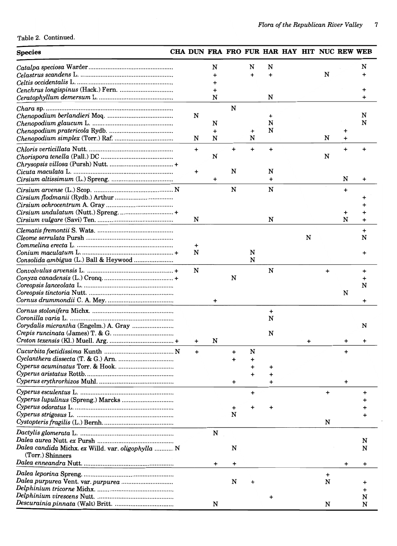| <b>Species</b>                                     | CHA DUN FRA FRO FUR HAR HAY HIT NUC REW WEB |           |           |   |   |   |           |           |        |
|----------------------------------------------------|---------------------------------------------|-----------|-----------|---|---|---|-----------|-----------|--------|
|                                                    |                                             | N         |           | N | N |   |           |           | N      |
|                                                    |                                             |           |           |   |   |   | N         |           |        |
|                                                    |                                             |           |           |   |   |   |           |           |        |
|                                                    |                                             | N         |           |   | N |   |           |           |        |
|                                                    |                                             |           | N         |   |   |   |           |           |        |
|                                                    | N                                           |           |           |   | + |   |           |           | N      |
|                                                    |                                             | N         |           |   | N |   |           |           | N      |
|                                                    |                                             | $\ddot{}$ |           | + | N |   |           | +         |        |
|                                                    | N                                           | N         |           | N |   |   | N         | $\ddot{}$ |        |
|                                                    | $\ddot{}$                                   |           | $\ddot{}$ | + | ÷ |   |           | $\ddot{}$ |        |
|                                                    |                                             | N         |           |   |   |   | N         |           |        |
|                                                    | +                                           |           | N         |   | N |   |           |           |        |
|                                                    |                                             | +         |           |   | + |   |           | N         | +      |
|                                                    |                                             |           | N         |   | N |   |           | $\ddot{}$ |        |
|                                                    |                                             |           |           |   |   |   |           |           |        |
|                                                    |                                             |           |           |   |   |   |           |           |        |
|                                                    | N                                           |           |           |   | N |   |           | +<br>N    |        |
|                                                    |                                             |           |           |   |   |   |           |           |        |
|                                                    |                                             |           |           |   |   | N |           |           | N      |
|                                                    | +                                           |           |           |   |   |   |           |           |        |
|                                                    | N                                           |           |           | N |   |   |           |           |        |
|                                                    |                                             |           |           | N |   |   |           |           |        |
|                                                    | N                                           |           |           |   | N |   | $\ddot{}$ |           | +      |
|                                                    |                                             |           | N         |   |   |   |           |           |        |
|                                                    |                                             |           |           |   |   |   |           | N         | N      |
|                                                    |                                             | +         |           |   |   |   |           |           |        |
|                                                    |                                             |           |           |   | + |   |           |           |        |
|                                                    |                                             |           |           |   | N |   |           |           |        |
|                                                    |                                             |           |           |   |   |   |           |           | N      |
|                                                    |                                             |           |           |   | N |   |           |           |        |
|                                                    | +                                           | N         |           |   |   |   |           |           |        |
|                                                    | $\ddot{}$                                   |           | $\ddot{}$ | N |   |   |           |           |        |
|                                                    |                                             |           |           |   |   |   |           |           |        |
|                                                    |                                             |           |           |   |   |   |           |           |        |
|                                                    |                                             |           | +         |   |   |   |           | +         |        |
|                                                    |                                             |           |           | + |   |   | $\ddot{}$ |           |        |
|                                                    |                                             |           |           |   |   |   |           |           |        |
|                                                    |                                             |           |           |   |   |   |           |           |        |
|                                                    |                                             |           | N         |   |   |   |           |           |        |
|                                                    |                                             |           |           |   |   |   | N         |           |        |
|                                                    |                                             | N         |           |   |   |   |           |           |        |
| Dalea candida Michx. ex Willd. var. oligophylla  N |                                             |           | N         |   |   |   |           |           | N<br>N |
| (Torr.) Shinners                                   |                                             |           |           |   |   |   |           |           |        |
|                                                    |                                             | +         | +         |   |   |   |           | +         | +      |
|                                                    |                                             |           |           |   |   |   | +         |           |        |
|                                                    |                                             |           | N         |   |   |   | N         |           |        |
|                                                    |                                             |           |           |   |   |   |           |           |        |
|                                                    |                                             | N         |           |   |   |   | N         |           | N<br>N |
|                                                    |                                             |           |           |   |   |   |           |           |        |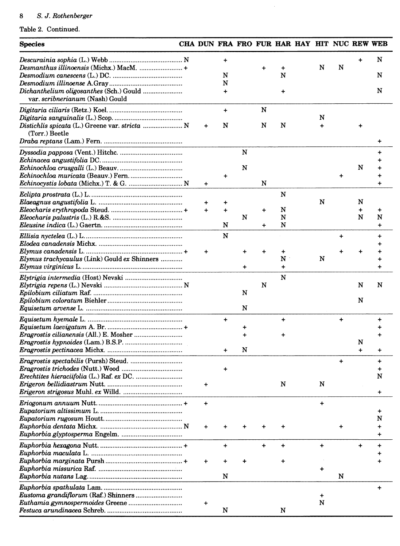#### $\bf 8$ 8 S. *J. Rothenberger*

| <b>Species</b>                                 | CHA DUN FRA FRO FUR HAR HAY HIT NUC REW WEB |             |   |           |           |           |           |           |           |
|------------------------------------------------|---------------------------------------------|-------------|---|-----------|-----------|-----------|-----------|-----------|-----------|
|                                                |                                             | $\ddot{}$   |   |           |           |           |           |           | N         |
| Desmanthus illinoensis (Michx.) MacM. +        |                                             |             |   | $\ddot{}$ | +         | N         | N         |           |           |
|                                                |                                             | N           |   |           | N         |           |           |           | N         |
|                                                |                                             | N           |   |           |           |           |           |           | N         |
| var. scribnerianum (Nash) Gould                |                                             | $\ddot{}$   |   |           | +         |           |           |           |           |
|                                                |                                             | $\ddot{}$   |   | N         |           |           |           |           |           |
|                                                |                                             |             |   |           |           | N         |           |           |           |
| Distichlis spicata (L.) Greene var. stricta  N | $\ddot{}$                                   | N           |   | N         | N         | $\ddot{}$ |           | +         |           |
| (Torr.) Beetle                                 |                                             |             |   |           |           |           |           |           |           |
|                                                |                                             |             | N |           |           |           |           |           |           |
|                                                |                                             |             |   |           |           |           |           |           |           |
|                                                |                                             |             | N |           |           |           |           | N         |           |
|                                                |                                             | +           |   |           |           |           |           |           |           |
|                                                | $\ddot{}$                                   |             |   | N         |           |           |           |           |           |
|                                                |                                             |             |   |           | N         |           |           |           |           |
|                                                | +                                           |             |   |           |           | N         |           | N         |           |
|                                                | $+$                                         | $\ddotmark$ |   | $\ddot{}$ | N         |           |           | $\ddot{}$ |           |
|                                                |                                             | N           | N | $\ddot{}$ | N<br>N    |           |           | N         | N<br>+    |
|                                                |                                             |             |   |           |           |           |           |           |           |
|                                                |                                             | N           |   |           |           |           | $\ddot{}$ |           | +         |
|                                                | $\ddot{}$                                   |             |   |           | +         |           |           |           |           |
| Elymus trachycaulus (Link) Gould ex Shinners   |                                             |             |   |           | N         | N         |           |           |           |
|                                                |                                             |             |   |           | $\ddot{}$ |           |           |           |           |
|                                                |                                             |             |   |           | N         |           |           |           |           |
|                                                |                                             |             |   | N         |           |           |           | N         | N         |
|                                                |                                             |             | N |           |           |           |           |           |           |
|                                                |                                             |             |   |           |           |           |           | N         |           |
|                                                |                                             |             | N |           |           |           |           |           |           |
|                                                |                                             | $\ddot{}$   |   |           | $\ddot{}$ |           | $\ddot{}$ |           | +         |
|                                                |                                             |             | + |           |           |           |           |           |           |
|                                                |                                             |             |   |           |           |           |           | N         |           |
|                                                |                                             |             | N |           |           |           |           |           |           |
|                                                |                                             |             |   |           |           |           |           |           |           |
|                                                |                                             |             |   |           |           |           |           |           |           |
|                                                |                                             |             |   |           |           |           |           |           | N         |
|                                                | $\ddot{}$                                   |             |   |           | N         | N         |           |           |           |
|                                                |                                             |             |   |           |           |           |           |           | $\ddot{}$ |
|                                                | $\ddot{}$                                   |             |   |           |           | $\ddot{}$ |           |           |           |
|                                                |                                             |             |   |           |           |           |           |           |           |
|                                                |                                             |             |   |           |           |           |           |           | N         |
|                                                | +                                           |             |   |           |           |           |           |           |           |
|                                                |                                             |             |   |           |           |           |           |           |           |
|                                                |                                             | $\ddot{}$   |   | $\ddot{}$ | $\ddot{}$ | +         |           | $\ddot{}$ |           |
|                                                | ٠                                           |             |   |           |           |           |           |           |           |
|                                                |                                             |             |   |           |           | +         |           |           |           |
|                                                |                                             | N           |   |           |           |           | N         |           |           |
|                                                |                                             |             |   |           |           |           |           |           | $\div$    |
|                                                |                                             |             |   |           |           | +         |           |           |           |
|                                                | +                                           |             |   |           |           | N         |           |           |           |
|                                                |                                             | N           |   |           | N         |           |           |           |           |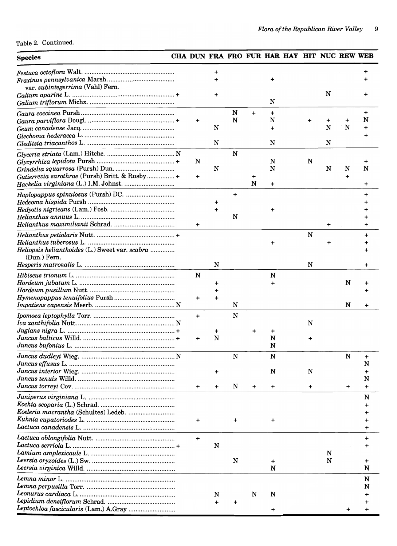Table 2. Continued.

#### **Species** CHA DUN FRA FRO FUR HAR HAY HIT NUC REW WEB *Festuca octo flora* Walt .................................................... . *Fraxinus pennsylvanica* Marsh ...................................... . var. *subintegerrima* (Yahl) Fern. *Galium aparine* L ............................................................ + *Galium triflorum* Michx ................................................. . *Gaura coccinea* Pursh ..................................................... . *Gaura parviflora* Dougl. .................................................. + + *Geum canadense* J acq ..................................................... . *Glechoma hederacea* L .................................................... . *Gleditsia triacanthos* L. .................................................. . *Glyceria striata* (Lam.) Hitchc ........................................ N *Glycyrrhiza lepidota* Pursh ............................................. + N *Grindelia squarrosa* (Pursh) Dun .................................. . *Gutierrezia sarothrae* (Pursh) Britt. & Rusby ................ + + *Hackelia virginiana* (L.) I.M. Johnst ............................. . *Haplopappus spinulosus* (Pursh) DC ............................ . *Hedeoma hispida* Pursh ................................................. . *Hedyotis nigricans* (Lam.) Fosb ..................................... . *Helianthus annuUS* L ...................................................... . *Helianthus maximilianii* Schrad ................................... . + *Helianthus petiolaris* Nutt .............................................. + *Helianthus tuberosus* L .................................................. . *Heliopsis helianthoides* (L.) Sweet var. *scabra* ............. . (Dun.) Fern. *Hesperis matronalis* L .................................................... . *Hibiscus trionum* L ......................................................... . N *Hordeum jubatum* L ....................................................... . *Hordeum pusillum* Nutt ................................................. . *Hymenopappus tenuifolius Pursh .................................. Impatiens capensis* Meerb ............................................... N *Ipomoea leptophylla* Torr ............................................... . + *Iva xanthifolia* Nutt ......................................................... N *Juglans nigra* L ............................................................... + *Juncus balticus* Willd ...................................................... + + *Juncus bufonius* L .......................................................... . *Juncus dudleyi* Wieg ....................................................... N *Juncus effusus* L ............................................................. . *Juncus interior* Wieg ...................................................... . *Juncus tenuis* Willd ........................................................ . *Juncus torreyi* Cov .......................................................... . + *Juniperus virginiana* L .................................................. . *Kochia scoparia* (L.) Schrad ........................................... . *Koeleria macrantha* (Schultes) Ledeb ........................... . *Kuhnia eupatoriodes* L ................................................... . + *Lactuca canadensis* L ..................................................... . *Lactuca oblongifolia* Nutt .............................................. . + *Lactuca serriola* L ............................................................ + *Lamium amplexicaule* L ................................................. . *Leersia oryzoides* (L.) Sw ................................................ . *Leersia virginica* Willd ................................................... . *Lemna minor* L ............................................................... . *Lemna perpusilla* Torr ................................................... . *Leonurus cardiaca* L ....................................................... . *Lepidium densiflorum* Schrad ....................................... . *Leptochloa fascicularis* (Lam.) A.Gray .......................... . + + + N N N + + N + + + + N + + N N + N N N + N N N N N + N + + + N + + N + N + N + N N N + + + N + + N N N N + + + N N + + N N N N + N + N + N N N + + N N + N N + N N N + + + + +  $\overline{1}$ N + + + N + + + + + + + + +  $\overline{f}$ + + + + N + N + N + + + + + + + N N N + + +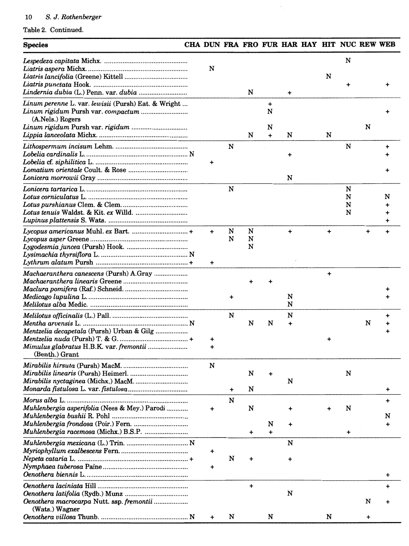| <b>Species</b>                                                          |                  |        |             |                  |             | CHA DUN FRA FRO FUR HAR HAY HIT NUC REW WEB |           |                  |        |   |
|-------------------------------------------------------------------------|------------------|--------|-------------|------------------|-------------|---------------------------------------------|-----------|------------------|--------|---|
|                                                                         | N                |        |             |                  |             |                                             | N         | N                |        |   |
|                                                                         |                  |        | N           |                  | $\ddot{}$   |                                             |           |                  |        |   |
| Linum perenne L. var. lewisii (Pursh) Eat. & Wright<br>(A.Nels.) Rogers |                  |        |             | +<br>N           |             |                                             |           |                  |        |   |
|                                                                         |                  |        | N           | N<br>$\ddotmark$ | N           |                                             | N         |                  | N      |   |
|                                                                         | $\ddot{}$        | N      |             |                  | $\ddot{}$   |                                             |           | N                |        |   |
|                                                                         |                  |        |             |                  | N           |                                             |           |                  |        |   |
|                                                                         |                  | N      |             |                  |             |                                             |           | N<br>N<br>N<br>N |        | N |
|                                                                         | $\ddotmark$<br>+ | N<br>N | N<br>N<br>N |                  | +           |                                             |           |                  |        |   |
|                                                                         |                  |        |             |                  | N           |                                             | $\ddot{}$ |                  |        |   |
| Mentzelia decapetala (Pursh) Urban & Gilg                               | +                | N      | N           | N                | N<br>N<br>+ |                                             |           |                  | N      |   |
| Mimulus glabratus H.B.K. var. fremontii<br>(Benth.) Grant               | +                |        |             |                  |             |                                             |           |                  |        |   |
|                                                                         | N                |        | N           |                  | N           |                                             |           | N                |        |   |
|                                                                         |                  | +      | N           |                  |             |                                             |           |                  |        | ٠ |
| Muhlenbergia asperifolia (Nees & Mey.) Parodi                           | +                | N      | N           | N                |             |                                             |           | N                |        | N |
|                                                                         |                  |        | +           | +                | +           |                                             |           | +                |        |   |
|                                                                         | +                |        |             |                  | N           |                                             |           |                  |        |   |
|                                                                         | +                | N      | +           |                  | +           |                                             |           |                  |        |   |
|                                                                         |                  |        | $\ddot{}$   |                  | N           |                                             |           |                  |        |   |
| Oenothera macrocarpa Nutt. ssp. fremontii<br>(Wats.) Wagner             |                  | N      |             | N                |             |                                             | N         |                  | N<br>+ |   |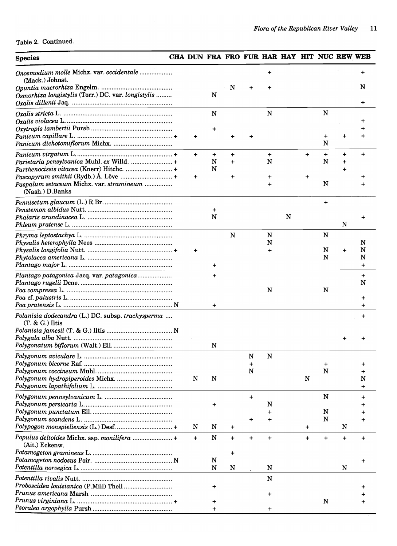## Table 2. Continued.

# **Species** CHA DUN FRA FRO FUR HAR HAY HIT NUC REW WEB

| Onosmodium molle Michx. var. occidentale<br>(Mack.) Johnst.                            |           |           |           |           |           |   |           |           |           |           |
|----------------------------------------------------------------------------------------|-----------|-----------|-----------|-----------|-----------|---|-----------|-----------|-----------|-----------|
| Osmorhiza longistylis (Torr.) DC. var. longistylis                                     |           | N         | N         |           |           |   |           |           |           | N         |
|                                                                                        |           | N         |           |           | N         |   |           | ${\bf N}$ |           |           |
|                                                                                        |           |           |           |           |           |   |           |           |           |           |
|                                                                                        |           |           |           |           |           |   |           |           |           |           |
|                                                                                        | $\ddot{}$ |           |           |           |           |   |           | +         |           |           |
|                                                                                        |           |           |           |           |           |   |           | N         |           |           |
|                                                                                        | $+$       | $\ddot{}$ | $\ddot{}$ |           | $\ddot{}$ |   | $\ddot{}$ | $\ddot{}$ | $\ddot{}$ |           |
| Parietaria pensylvanica Muhl. ex Willd.  +<br>Parthenocissis vitacea (Knerr) Hitchc. + |           | N<br>N    | $\ddot{}$ |           | N         |   |           | N         |           |           |
|                                                                                        | $\ddot{}$ |           | $\ddag$   |           |           |   | $\ddot{}$ |           |           |           |
| Paspalum setaceum Michx. var. stramineum                                               |           |           |           |           |           |   |           | N         |           |           |
| (Nash.) D.Banks                                                                        |           |           |           |           |           |   |           |           |           |           |
|                                                                                        |           |           |           |           |           |   |           | $\ddot{}$ |           |           |
|                                                                                        |           | $\div$    |           |           |           |   |           |           |           |           |
|                                                                                        |           | N         |           |           |           | N |           |           | N         |           |
|                                                                                        |           |           |           |           |           |   |           |           |           |           |
|                                                                                        |           |           | ${\bf N}$ |           | N<br>N    |   |           | N         |           | N         |
|                                                                                        | $\ddot{}$ |           |           |           |           |   |           | N         | $\div$    | N         |
|                                                                                        |           |           |           |           |           |   |           | N         |           | N         |
|                                                                                        |           | +         |           |           |           |   |           |           |           | $\ddot{}$ |
|                                                                                        |           | $\ddot{}$ |           |           |           |   |           |           |           | $\div$    |
|                                                                                        |           |           |           |           |           |   |           |           |           | N         |
|                                                                                        |           |           |           |           | N         |   |           | N         |           |           |
|                                                                                        |           | $\ddot{}$ |           |           |           |   |           |           |           |           |
| Polanisia dodecandra (L.) DC. subsp. trachysperma                                      |           |           |           |           |           |   |           |           |           |           |
| $(T. & G.)$ Iltis                                                                      |           |           |           |           |           |   |           |           |           |           |
|                                                                                        |           |           |           |           |           |   |           |           |           |           |
|                                                                                        |           | N         |           |           |           |   |           |           |           |           |
|                                                                                        |           |           |           | N         | N         |   |           |           |           |           |
|                                                                                        |           |           |           | +         |           |   |           |           |           |           |
|                                                                                        |           |           |           | N         |           |   |           | N         |           |           |
|                                                                                        | N         | N         |           |           |           |   | N         |           |           | N         |
|                                                                                        |           |           |           |           |           |   |           | N         |           |           |
|                                                                                        |           |           |           | +         | N         |   |           |           |           |           |
|                                                                                        |           |           |           |           |           |   |           | N         |           |           |
|                                                                                        |           |           |           |           |           |   |           | N         |           |           |
| Polypogon monspieliensis (L.) Desf.  +                                                 | N         | N         | $\ddot{}$ |           |           |   | $\ddot{}$ |           | N         |           |
| Populus deltoides Michx. ssp. monilifera  +<br>(Ait.) Eckenw.                          | $+$       | N         | $\ddot{}$ | $\ddot{}$ | $\ddot{}$ |   | $\ddot{}$ | $\ddot{}$ | $\ddot{}$ |           |
|                                                                                        |           |           | +         |           |           |   |           |           |           |           |
|                                                                                        |           | N         |           |           |           |   |           |           |           |           |
|                                                                                        |           | N         | N         |           | N         |   |           |           | N         |           |
|                                                                                        |           |           |           |           | N         |   |           |           |           |           |
|                                                                                        |           |           |           |           |           |   |           |           |           |           |
|                                                                                        |           |           |           |           |           |   |           | N         |           |           |
| Psoralea argophylla Pursh                                                              |           |           |           |           |           |   |           |           |           |           |
|                                                                                        |           |           |           |           |           |   |           |           |           |           |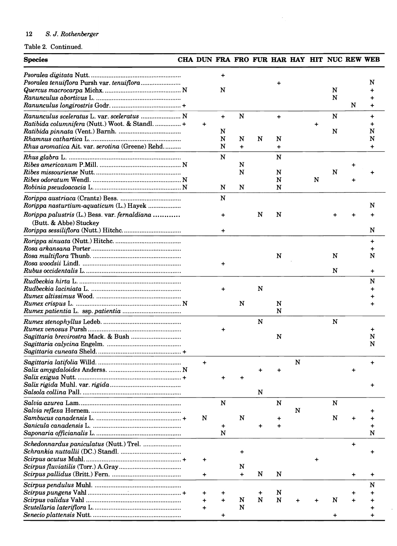## Table 2. Continued.

| <b>Species</b>                                                                                                                                    |                          |                     |                             |   |                       |   |   |        | CHA DUN FRA FRO FUR HAR HAY HIT NUC REW WEB |                                  |
|---------------------------------------------------------------------------------------------------------------------------------------------------|--------------------------|---------------------|-----------------------------|---|-----------------------|---|---|--------|---------------------------------------------|----------------------------------|
|                                                                                                                                                   |                          | $\ddot{}$<br>N      |                             |   | ÷                     |   |   | N<br>N | N                                           | N                                |
| Ranunculus sceleratus L. var. sceleratus  N<br>Ratibida columnifera (Nutt.) Woot. & Standl.  +<br>Rhus aromatica Ait. var. serotina (Greene) Rehd | $\ddot{}$                | $+$<br>N<br>N<br>N  | ${\bf N}$<br>N<br>$\ddot{}$ | N | $+$<br>N<br>$\ddot{}$ |   | + | N<br>N |                                             | $\ddot{}$<br>N<br>N<br>$\ddot{}$ |
|                                                                                                                                                   |                          | N<br>N              | N<br>N<br>N                 |   | N<br>N<br>N<br>N      |   | N | N      | +                                           |                                  |
| Rorippa nasturtium-aquaticum (L.) Hayek<br>Rorippa palustris (L.) Bess. var. fernaldiana<br>(Butt. & Abbe) Stuckey                                |                          | N<br>$\ddot{}$<br>+ |                             | N | N                     |   |   |        |                                             | N<br>N                           |
|                                                                                                                                                   |                          | +                   |                             |   | N                     |   |   | N<br>N |                                             | $\ddot{}$<br>N<br>+              |
|                                                                                                                                                   |                          | +                   | N                           | N | N<br>N                |   |   |        |                                             | N<br>÷                           |
|                                                                                                                                                   |                          |                     |                             | N | N                     |   |   | N      |                                             | +<br>N<br>N                      |
|                                                                                                                                                   | $\ddot{}$                |                     |                             | N |                       | N |   |        |                                             |                                  |
|                                                                                                                                                   | N                        | N<br>+<br>N         | N                           |   | N                     | N |   | N<br>N |                                             | N                                |
|                                                                                                                                                   | $\ddot{}$<br>+           |                     | N<br>$\ddot{}$              | N | N                     |   |   |        | $\ddot{}$<br>+                              | ٠                                |
|                                                                                                                                                   | ÷<br>$\ddot{}$<br>$\div$ |                     | N<br>N                      | N | N<br>N                |   |   | N      |                                             | N                                |

 $\mathbb{R}^2$ 

 $\hat{\boldsymbol{\beta}}$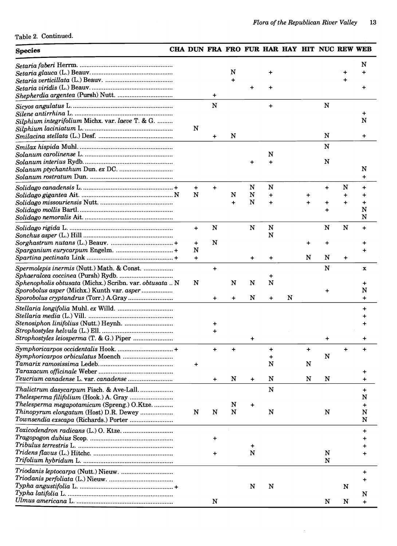$\bar{\lambda}$ 

Table 2. Continued.

## Species **EXAMPLE CHA DUN FRA FRO FUR HAR HAY HIT NUC REW WEB**

|                                                         |                |           | N         |           |                |   |           |           |                | N           |
|---------------------------------------------------------|----------------|-----------|-----------|-----------|----------------|---|-----------|-----------|----------------|-------------|
|                                                         |                |           | +         |           |                |   |           |           |                |             |
|                                                         |                | $\ddot{}$ |           |           |                |   |           |           |                |             |
|                                                         |                | ${\bf N}$ |           |           | +              |   |           | N         |                |             |
|                                                         |                |           |           |           |                |   |           |           |                | +           |
| Silphium integrifolium Michx. var. laeve T. & G.        |                |           |           |           |                |   |           |           |                | N           |
|                                                         | N              | +         | N         |           |                |   |           | N         |                |             |
|                                                         |                |           |           |           |                |   |           | N         |                |             |
|                                                         |                |           |           |           | N              |   |           |           |                |             |
|                                                         |                |           |           |           |                |   |           | N         |                |             |
|                                                         |                |           |           |           |                |   |           |           |                | N           |
|                                                         |                |           |           |           | N              |   |           |           |                | $\ddot{}$   |
|                                                         | $\ddot{}$<br>N |           | N         | N<br>N    | $\ddot{}$      |   |           | $\ddot{}$ | N<br>$\ddot{}$ | $\ddot{}$   |
|                                                         |                |           | $\ddot{}$ | N         | $\ddot{}$      |   | $\ddot{}$ | +         | $\ddot{}$      | $\ddot{}$   |
|                                                         |                |           |           |           |                |   |           |           |                | N           |
|                                                         |                |           |           |           |                |   |           |           |                | N           |
|                                                         | $\ddot{}$      | N         |           | N         | ${\bf N}$<br>N |   |           | N         | $\mathbf N$    | $\ddot{}$   |
|                                                         | $\ddot{}$      | N         |           |           |                |   | +         | +         |                |             |
|                                                         | N              |           |           |           |                |   |           |           |                |             |
|                                                         | $+$            |           |           | +         | +              |   | N         | N         | $\ddot{}$      |             |
| Spermolepis inermis (Nutt.) Math. & Const.              |                | $\ddot{}$ |           |           |                |   |           | N         |                | $\mathbf x$ |
| Sphenopholis obtusata (Michx.) Scribn. var. obtusata  N | N              |           | N         | N.        | +<br>N         |   |           |           |                | +           |
| Sporobolus asper (Michx.) Kunth var. asper              |                |           |           |           |                |   |           | +         |                | N           |
|                                                         |                |           |           | N         | $\ddot{}$      | N |           |           |                | $\ddot{}$   |
|                                                         |                |           |           |           |                |   |           |           |                | $\ddot{}$   |
|                                                         |                |           |           |           |                |   |           |           |                |             |
|                                                         |                |           |           |           |                |   |           |           |                |             |
|                                                         |                |           |           | +         |                |   |           | +         |                |             |
|                                                         |                | $\ddot{}$ | $\ddot{}$ |           |                |   | $\ddot{}$ |           |                |             |
|                                                         |                |           |           |           |                |   |           | N         |                |             |
| Tamarix ramosissima Ledeb.                              |                |           |           |           | N              |   | N         |           |                |             |
|                                                         |                |           | N         | $\ddot{}$ | N              |   | N         | N         |                |             |
| Thalictrum dasycarpum Fisch. & Ave-Lall                 |                |           |           |           | ${\bf N}$      |   |           |           |                |             |
|                                                         |                |           |           |           |                |   |           |           |                | N           |
| Thelesperma megapotamicum (Spreng.) O.Ktze.             |                |           | N         | +         |                |   |           |           |                | +           |
| Thinopyrum elongatum (Host) D.R. Dewey                  | N              | N         | N         |           | N              |   |           | N         |                | N<br>N      |
|                                                         |                |           |           |           |                |   |           |           |                |             |
|                                                         |                | +         |           |           |                |   |           |           |                | +           |
|                                                         |                |           |           | ٠         |                |   |           |           |                |             |
|                                                         |                |           |           | N         |                |   |           | N         |                |             |
|                                                         |                |           |           |           |                |   |           | N         |                |             |
|                                                         |                |           |           |           |                |   |           |           |                | +           |
|                                                         |                |           |           | N         | N              |   |           |           | N              |             |
|                                                         |                |           |           |           |                |   |           |           |                | N           |
|                                                         |                | N         |           |           |                |   |           | N         | N              | +           |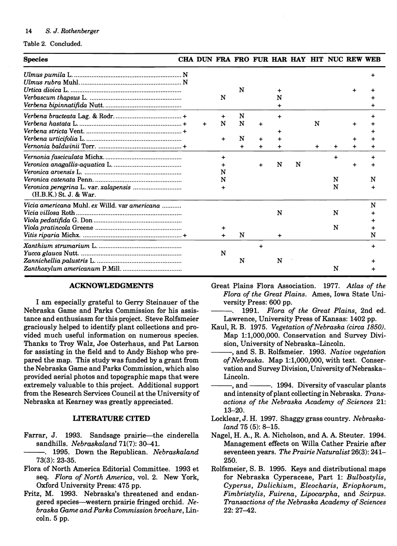Table 2. Concluded.

| <b>Species</b>                                |             |             |           |           |           |   |   | CHA DUN FRA FRO FUR HAR HAY HIT NUC REW WEB |   |
|-----------------------------------------------|-------------|-------------|-----------|-----------|-----------|---|---|---------------------------------------------|---|
|                                               |             |             |           |           |           |   |   |                                             |   |
|                                               |             |             | N         |           | ٠         |   |   |                                             |   |
|                                               |             | N           |           |           | N         |   |   |                                             |   |
|                                               |             |             |           |           | ÷         |   |   |                                             |   |
|                                               |             |             | N         |           | $\ddot{}$ |   |   |                                             |   |
|                                               | $\ddotmark$ | N           | N         | $\ddot{}$ |           |   | N |                                             |   |
|                                               |             |             |           |           |           |   |   |                                             |   |
|                                               |             | $\ddotmark$ | N         | ÷         |           |   |   |                                             |   |
|                                               |             |             | $\ddot{}$ |           |           |   | + | $\ddot{}$                                   |   |
|                                               |             | +           |           |           |           |   |   | $\ddot{}$                                   |   |
|                                               |             |             |           |           | N         | N |   |                                             |   |
|                                               |             | N           |           |           |           |   |   |                                             |   |
|                                               |             | N           |           |           |           |   |   | N                                           |   |
| $(H.B.K.)$ St. J. & War.                      |             | $\ddot{}$   |           |           |           |   |   | N                                           |   |
| Vicia americana Muhl. ex Willd. var americana |             |             |           |           |           |   |   |                                             | N |
|                                               |             |             |           |           | N         |   |   | N                                           |   |
|                                               |             |             |           |           |           |   |   |                                             |   |
|                                               |             |             |           |           |           |   |   | N                                           |   |
|                                               |             |             | N         |           | ٠         |   |   |                                             | N |
|                                               |             |             |           | $\div$    |           |   |   |                                             |   |
|                                               |             | N           |           |           |           |   |   |                                             |   |
|                                               |             |             | N         |           | N         |   |   |                                             |   |
|                                               |             |             |           |           |           |   |   | N                                           |   |

#### ACKNOWLEDGMENTS

I am especially grateful to Gerry Steinauer of the Nebraska Game and Parks Commission for his assistance and enthusiasm for this project. Steve Rolfsmeier graciously helped to identify plant collections and provided much useful information on numerous species. Thanks to Troy Walz, Joe Osterhaus, and Pat Larson for assisting in the field and to Andy Bishop who prepared the map. This study was funded by a grant from the Nebraska Game and Parks Commission, which also provided aerial photos and topographic maps that were extremely valuable to this project. Additional support from the Research Services Council at the University of Nebraska at Kearney was greatly appreciated.

## LITERATURE CITED

- Farrar, J. 1993. Sandsage prairie-the cinderella sandhills. *Nebraskaland* 71(7): 30-41.
	- --. 1995. Down the Republican. *Nebraskaland*  73(3): 23-35.
- Flora of North America Editorial Committee. 1993 et seq. *Flora of North America,* vol. 2. New York, Oxford University Press: 475 pp.
- Fritz, M. 1993. Nebraska's threatened and endangered species-western prairie fringed orchid. *Nebraska Game and Parks Commission brochure,* Lincoln. 5 pp.

Great Plains Flora Association. 1977. *Atlas of the Flora of the Great Plains.* Ames, Iowa State University Press: 600 pp.

- *1991. Flora of the Great Plains,* 2nd ed. Lawrence, University Press of Kansas: 1402 pp.
- Kaul, R. B. 1975. *Vegetation of Nebraska (circa 1850).*  Map 1:1,000,000. Conservation and Survey Division, University of Nebraska-Lincoln.
- ---, and S. B. Rolfsmeier. 1993. *Native vegetation of Nebraska.* Map 1:1,000,000, with text. Conservation and Survey Division, University of Nebraska-Lincoln.
- -, and ------. 1994. Diversity of vascular plants and intensity of plant collecting in Nebraska. *Transactions of the Nebraska Academy of Sciences* 21: 13-20.
- Locklear, J. H. 1997. Shaggy grass country. *Nebraskaland* 75 (5): 8-15.
- Nagel, H. A., R. A. Nicholson, and A. A. Steuter. 1994. Management effects on Willa Cather Prairie after seventeen years. *The Prairie Naturalist* 26(3): 241- 250.
- Rolfsmeier, S. B. 1995. Keys and distributional maps for Nebraska Cyperaceae, Part 1: *Bulbostylis, Cyperus, Dulichium, Eleocharis, Eriophorum, Fimbristylis, Fuirena, Lipocarpha,* and *Scirpus. Transactions of the Nebraska Academy of Sciences*  22: 27-42.